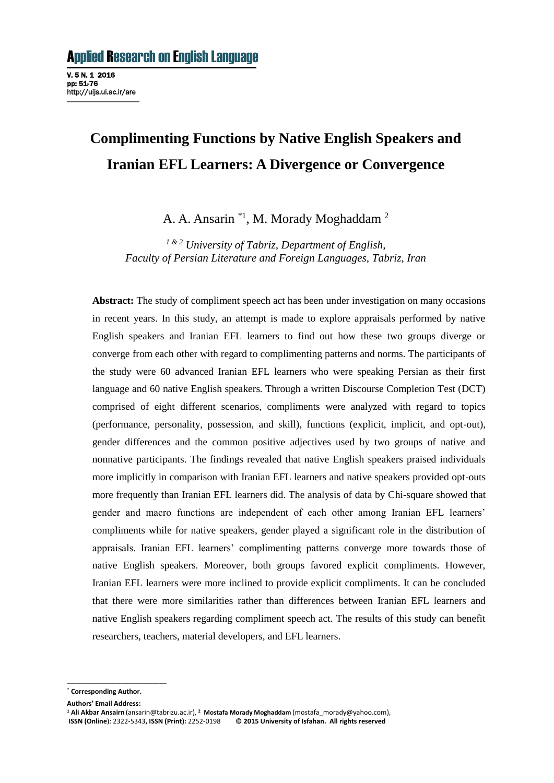V. 5 N. 1 2016 pp: 51-76 http://uijs.ui.ac.ir/are

# **Complimenting Functions by Native English Speakers and Iranian EFL Learners: A Divergence or Convergence**

A. A. Ansarin<sup>\*1</sup>, M. Morady Moghaddam<sup>2</sup>

*1 & 2 University of Tabriz, Department of English, Faculty of Persian Literature and Foreign Languages, Tabriz, Iran*

**Abstract:** The study of compliment speech act has been under investigation on many occasions in recent years. In this study, an attempt is made to explore appraisals performed by native English speakers and Iranian EFL learners to find out how these two groups diverge or converge from each other with regard to complimenting patterns and norms. The participants of the study were 60 advanced Iranian EFL learners who were speaking Persian as their first language and 60 native English speakers. Through a written Discourse Completion Test (DCT) comprised of eight different scenarios, compliments were analyzed with regard to topics (performance, personality, possession, and skill), functions (explicit, implicit, and opt-out), gender differences and the common positive adjectives used by two groups of native and nonnative participants. The findings revealed that native English speakers praised individuals more implicitly in comparison with Iranian EFL learners and native speakers provided opt-outs more frequently than Iranian EFL learners did. The analysis of data by Chi-square showed that gender and macro functions are independent of each other among Iranian EFL learners' compliments while for native speakers, gender played a significant role in the distribution of appraisals. Iranian EFL learners' complimenting patterns converge more towards those of native English speakers. Moreover, both groups favored explicit compliments. However, Iranian EFL learners were more inclined to provide explicit compliments. It can be concluded that there were more similarities rather than differences between Iranian EFL learners and native English speakers regarding compliment speech act. The results of this study can benefit researchers, teachers, material developers, and EFL learners.

**\_\_\_\_\_\_\_\_\_\_\_\_\_\_\_\_\_\_\_\_\_\_\_\_\_\_\_\_\_\_\_\_\_\_\_\_\_\_\_\_\_\_\_**

**Authors' Email Address:**

<sup>\*</sup> **Corresponding Author.**

**<sup>1</sup> Ali Akbar Ansairn** (ansarin@tabrizu.ac.ir), **<sup>2</sup> Mostafa Morady Moghaddam** (mostafa\_morady@yahoo.com), **ISSN (Online**): 2322-5343**, ISSN (Print):** 2252-0198 **© 2015 University of Isfahan. All rights reserved**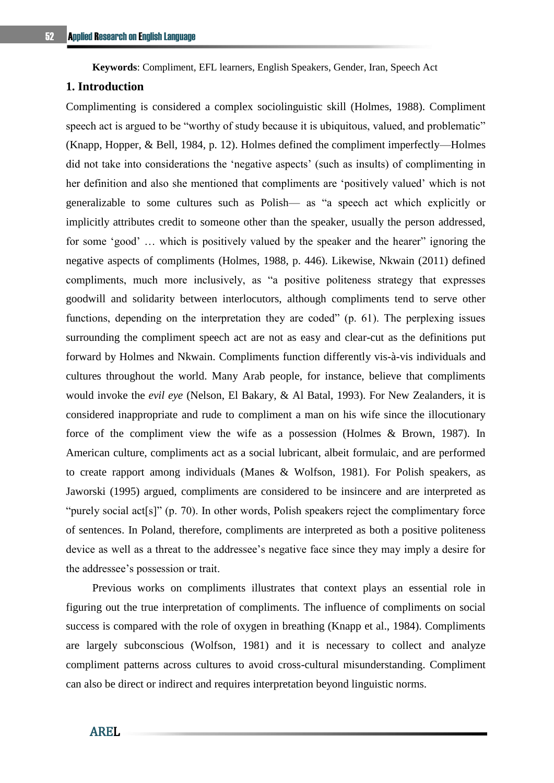**Keywords**: Compliment, EFL learners, English Speakers, Gender, Iran, Speech Act

## **1. Introduction**

Complimenting is considered a complex sociolinguistic skill (Holmes, 1988). Compliment speech act is argued to be "worthy of study because it is ubiquitous, valued, and problematic" (Knapp, Hopper, & Bell, 1984, p. 12). Holmes defined the compliment imperfectly—Holmes did not take into considerations the 'negative aspects' (such as insults) of complimenting in her definition and also she mentioned that compliments are 'positively valued' which is not generalizable to some cultures such as Polish— as "a speech act which explicitly or implicitly attributes credit to someone other than the speaker, usually the person addressed, for some 'good' … which is positively valued by the speaker and the hearer" ignoring the negative aspects of compliments (Holmes, 1988, p. 446). Likewise, Nkwain (2011) defined compliments, much more inclusively, as "a positive politeness strategy that expresses goodwill and solidarity between interlocutors, although compliments tend to serve other functions, depending on the interpretation they are coded" (p. 61). The perplexing issues surrounding the compliment speech act are not as easy and clear-cut as the definitions put forward by Holmes and Nkwain. Compliments function differently vis-à-vis individuals and cultures throughout the world. Many Arab people, for instance, believe that compliments would invoke the *evil eye* (Nelson, El Bakary, & Al Batal, 1993). For New Zealanders, it is considered inappropriate and rude to compliment a man on his wife since the illocutionary force of the compliment view the wife as a possession (Holmes & Brown, 1987). In American culture, compliments act as a social lubricant, albeit formulaic, and are performed to create rapport among individuals (Manes & Wolfson, 1981). For Polish speakers, as Jaworski (1995) argued, compliments are considered to be insincere and are interpreted as "purely social act[s]" (p. 70). In other words, Polish speakers reject the complimentary force of sentences. In Poland, therefore, compliments are interpreted as both a positive politeness device as well as a threat to the addressee's negative face since they may imply a desire for the addressee's possession or trait.

Previous works on compliments illustrates that context plays an essential role in figuring out the true interpretation of compliments. The influence of compliments on social success is compared with the role of oxygen in breathing (Knapp et al., 1984). Compliments are largely subconscious (Wolfson, 1981) and it is necessary to collect and analyze compliment patterns across cultures to avoid cross-cultural misunderstanding. Compliment can also be direct or indirect and requires interpretation beyond linguistic norms.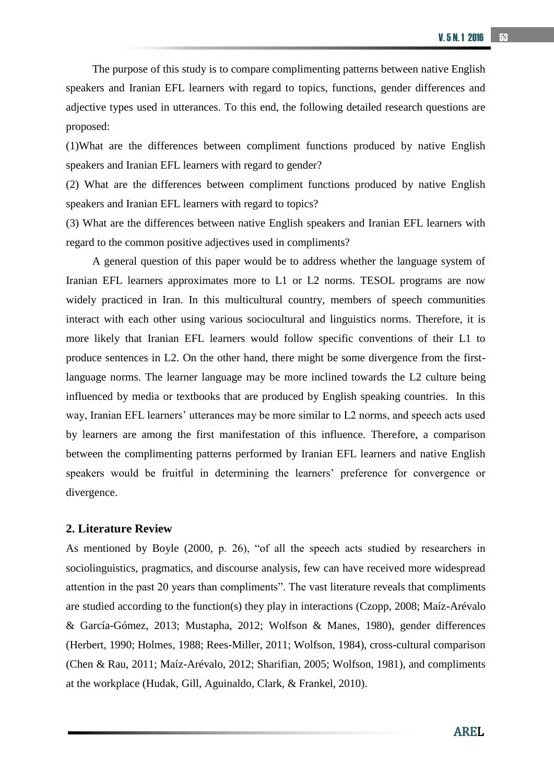The purpose of this study is to compare complimenting patterns between native English speakers and Iranian EFL learners with regard to topics, functions, gender differences and adjective types used in utterances. To this end, the following detailed research questions are proposed:

(1)What are the differences between compliment functions produced by native English speakers and Iranian EFL learners with regard to gender?

(2) What are the differences between compliment functions produced by native English speakers and Iranian EFL learners with regard to topics?

(3) What are the differences between native English speakers and Iranian EFL learners with regard to the common positive adjectives used in compliments?

A general question of this paper would be to address whether the language system of Iranian EFL learners approximates more to L1 or L2 norms. TESOL programs are now widely practiced in Iran. In this multicultural country, members of speech communities interact with each other using various sociocultural and linguistics norms. Therefore, it is more likely that Iranian EFL learners would follow specific conventions of their L1 to produce sentences in L2. On the other hand, there might be some divergence from the firstlanguage norms. The learner language may be more inclined towards the L2 culture being influenced by media or textbooks that are produced by English speaking countries. In this way, Iranian EFL learners' utterances may be more similar to L2 norms, and speech acts used by learners are among the first manifestation of this influence. Therefore, a comparison between the complimenting patterns performed by Iranian EFL learners and native English speakers would be fruitful in determining the learners' preference for convergence or divergence.

## **2. Literature Review**

As mentioned by Boyle (2000, p. 26), "of all the speech acts studied by researchers in sociolinguistics, pragmatics, and discourse analysis, few can have received more widespread attention in the past 20 years than compliments". The vast literature reveals that compliments are studied according to the function(s) they play in interactions (Czopp, 2008; Maíz-Arévalo & García-Gómez, 2013; Mustapha, 2012; Wolfson & Manes, 1980), gender differences (Herbert, 1990; Holmes, 1988; Rees-Miller, 2011; Wolfson, 1984), cross-cultural comparison (Chen & Rau, 2011; Maíz-Arévalo, 2012; Sharifian, 2005; Wolfson, 1981), and compliments at the workplace (Hudak, Gill, Aguinaldo, Clark, & Frankel, 2010).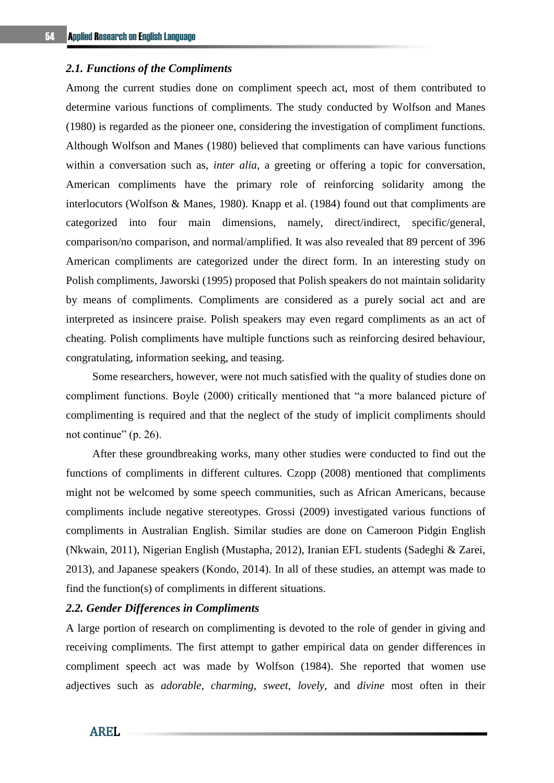## *2.1. Functions of the Compliments*

Among the current studies done on compliment speech act, most of them contributed to determine various functions of compliments. The study conducted by Wolfson and Manes (1980) is regarded as the pioneer one, considering the investigation of compliment functions. Although Wolfson and Manes (1980) believed that compliments can have various functions within a conversation such as, *inter alia*, a greeting or offering a topic for conversation, American compliments have the primary role of reinforcing solidarity among the interlocutors (Wolfson & Manes, 1980). Knapp et al. (1984) found out that compliments are categorized into four main dimensions, namely, direct/indirect, specific/general, comparison/no comparison, and normal/amplified. It was also revealed that 89 percent of 396 American compliments are categorized under the direct form. In an interesting study on Polish compliments, Jaworski (1995) proposed that Polish speakers do not maintain solidarity by means of compliments. Compliments are considered as a purely social act and are interpreted as insincere praise. Polish speakers may even regard compliments as an act of cheating. Polish compliments have multiple functions such as reinforcing desired behaviour, congratulating, information seeking, and teasing.

Some researchers, however, were not much satisfied with the quality of studies done on compliment functions. Boyle (2000) critically mentioned that "a more balanced picture of complimenting is required and that the neglect of the study of implicit compliments should not continue" (p. 26).

After these groundbreaking works, many other studies were conducted to find out the functions of compliments in different cultures. Czopp (2008) mentioned that compliments might not be welcomed by some speech communities, such as African Americans, because compliments include negative stereotypes. Grossi (2009) investigated various functions of compliments in Australian English. Similar studies are done on Cameroon Pidgin English (Nkwain, 2011), Nigerian English (Mustapha, 2012), Iranian EFL students (Sadeghi & Zarei, 2013), and Japanese speakers (Kondo, 2014). In all of these studies, an attempt was made to find the function(s) of compliments in different situations.

### *2.2. Gender Differences in Compliments*

A large portion of research on complimenting is devoted to the role of gender in giving and receiving compliments. The first attempt to gather empirical data on gender differences in compliment speech act was made by Wolfson (1984). She reported that women use adjectives such as *adorable*, *charming*, *sweet*, *lovely*, and *divine* most often in their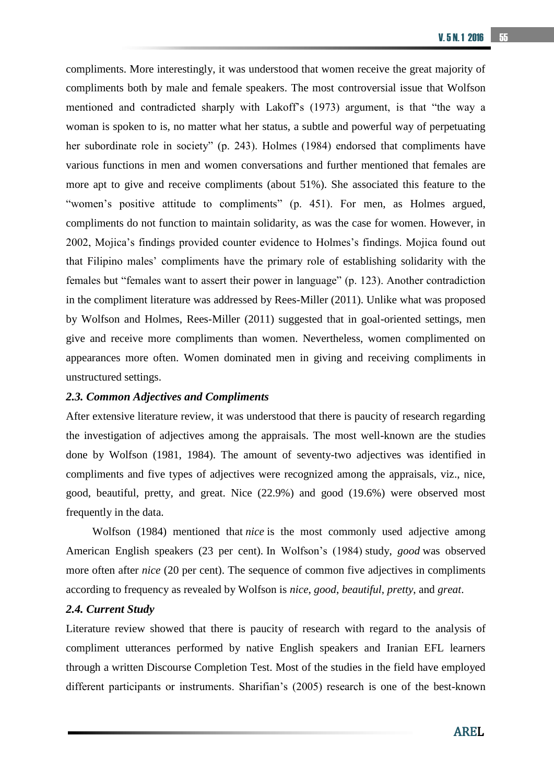compliments. More interestingly, it was understood that women receive the great majority of compliments both by male and female speakers. The most controversial issue that Wolfson mentioned and contradicted sharply with Lakoff's (1973) argument, is that "the way a woman is spoken to is, no matter what her status, a subtle and powerful way of perpetuating her subordinate role in society" (p. 243). Holmes (1984) endorsed that compliments have various functions in men and women conversations and further mentioned that females are more apt to give and receive compliments (about 51%). She associated this feature to the "women's positive attitude to compliments" (p. 451). For men, as Holmes argued, compliments do not function to maintain solidarity, as was the case for women. However, in 2002, Mojica's findings provided counter evidence to Holmes's findings. Mojica found out that Filipino males' compliments have the primary role of establishing solidarity with the females but "females want to assert their power in language" (p. 123). Another contradiction in the compliment literature was addressed by Rees-Miller (2011). Unlike what was proposed by Wolfson and Holmes, Rees-Miller (2011) suggested that in goal-oriented settings, men give and receive more compliments than women. Nevertheless, women complimented on appearances more often. Women dominated men in giving and receiving compliments in unstructured settings.

#### *2.3. Common Adjectives and Compliments*

After extensive literature review, it was understood that there is paucity of research regarding the investigation of adjectives among the appraisals. The most well-known are the studies done by Wolfson (1981, 1984). The amount of seventy-two adjectives was identified in compliments and five types of adjectives were recognized among the appraisals, viz., nice, good, beautiful, pretty, and great. Nice (22.9%) and good (19.6%) were observed most frequently in the data.

Wolfson (1984) mentioned that *nice* is the most commonly used adjective among American English speakers (23 per cent). In Wolfson's (1984) study, *good* was observed more often after *nice* (20 per cent). The sequence of common five adjectives in compliments according to frequency as revealed by Wolfson is *nice*, *good*, *beautiful*, *pretty*, and *great*.

## *2.4. Current Study*

Literature review showed that there is paucity of research with regard to the analysis of compliment utterances performed by native English speakers and Iranian EFL learners through a written Discourse Completion Test. Most of the studies in the field have employed different participants or instruments. Sharifian's (2005) research is one of the best-known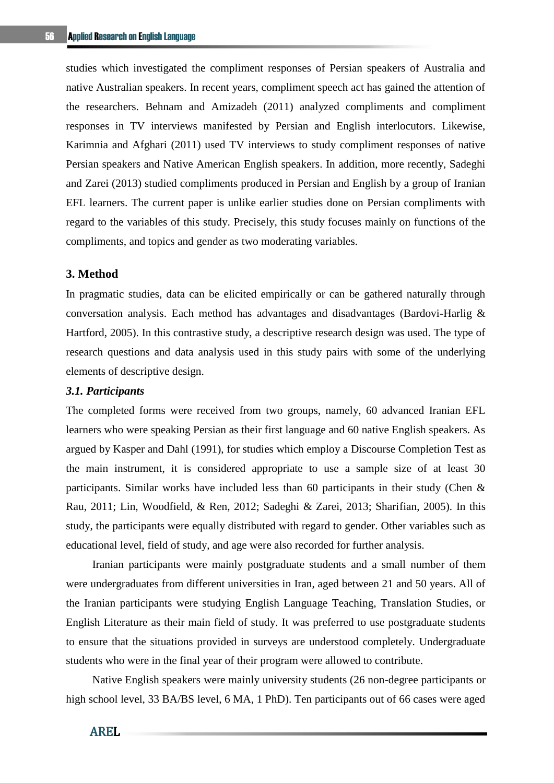studies which investigated the compliment responses of Persian speakers of Australia and native Australian speakers. In recent years, compliment speech act has gained the attention of the researchers. Behnam and Amizadeh (2011) analyzed compliments and compliment responses in TV interviews manifested by Persian and English interlocutors. Likewise, Karimnia and Afghari (2011) used TV interviews to study compliment responses of native Persian speakers and Native American English speakers. In addition, more recently, Sadeghi and Zarei (2013) studied compliments produced in Persian and English by a group of Iranian EFL learners. The current paper is unlike earlier studies done on Persian compliments with regard to the variables of this study. Precisely, this study focuses mainly on functions of the compliments, and topics and gender as two moderating variables.

#### **3. Method**

In pragmatic studies, data can be elicited empirically or can be gathered naturally through conversation analysis. Each method has advantages and disadvantages (Bardovi-Harlig & Hartford, 2005). In this contrastive study, a descriptive research design was used. The type of research questions and data analysis used in this study pairs with some of the underlying elements of descriptive design.

#### *3.1. Participants*

The completed forms were received from two groups, namely, 60 advanced Iranian EFL learners who were speaking Persian as their first language and 60 native English speakers. As argued by Kasper and Dahl (1991), for studies which employ a Discourse Completion Test as the main instrument, it is considered appropriate to use a sample size of at least 30 participants. Similar works have included less than 60 participants in their study (Chen  $\&$ Rau, 2011; Lin, Woodfield, & Ren, 2012; Sadeghi & Zarei, 2013; Sharifian, 2005). In this study, the participants were equally distributed with regard to gender. Other variables such as educational level, field of study, and age were also recorded for further analysis.

Iranian participants were mainly postgraduate students and a small number of them were undergraduates from different universities in Iran, aged between 21 and 50 years. All of the Iranian participants were studying English Language Teaching, Translation Studies, or English Literature as their main field of study. It was preferred to use postgraduate students to ensure that the situations provided in surveys are understood completely. Undergraduate students who were in the final year of their program were allowed to contribute.

Native English speakers were mainly university students (26 non-degree participants or high school level, 33 BA/BS level, 6 MA, 1 PhD). Ten participants out of 66 cases were aged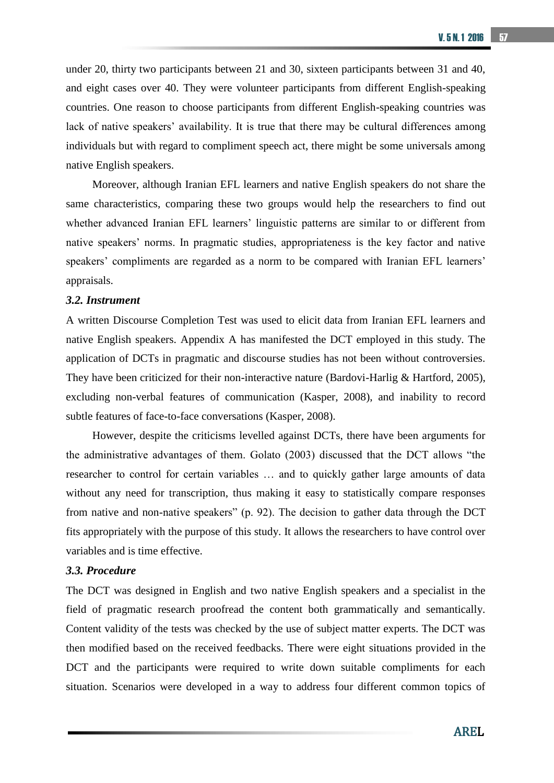under 20, thirty two participants between 21 and 30, sixteen participants between 31 and 40, and eight cases over 40. They were volunteer participants from different English-speaking countries. One reason to choose participants from different English-speaking countries was lack of native speakers' availability. It is true that there may be cultural differences among individuals but with regard to compliment speech act, there might be some universals among native English speakers.

Moreover, although Iranian EFL learners and native English speakers do not share the same characteristics, comparing these two groups would help the researchers to find out whether advanced Iranian EFL learners' linguistic patterns are similar to or different from native speakers' norms. In pragmatic studies, appropriateness is the key factor and native speakers' compliments are regarded as a norm to be compared with Iranian EFL learners' appraisals.

#### *3.2. Instrument*

A written Discourse Completion Test was used to elicit data from Iranian EFL learners and native English speakers. Appendix A has manifested the DCT employed in this study. The application of DCTs in pragmatic and discourse studies has not been without controversies. They have been criticized for their non-interactive nature (Bardovi-Harlig & Hartford, 2005), excluding non-verbal features of communication (Kasper, 2008), and inability to record subtle features of face-to-face conversations (Kasper, 2008).

However, despite the criticisms levelled against DCTs, there have been arguments for the administrative advantages of them. Golato (2003) discussed that the DCT allows "the researcher to control for certain variables … and to quickly gather large amounts of data without any need for transcription, thus making it easy to statistically compare responses from native and non-native speakers" (p. 92). The decision to gather data through the DCT fits appropriately with the purpose of this study. It allows the researchers to have control over variables and is time effective.

## *3.3. Procedure*

The DCT was designed in English and two native English speakers and a specialist in the field of pragmatic research proofread the content both grammatically and semantically. Content validity of the tests was checked by the use of subject matter experts. The DCT was then modified based on the received feedbacks. There were eight situations provided in the DCT and the participants were required to write down suitable compliments for each situation. Scenarios were developed in a way to address four different common topics of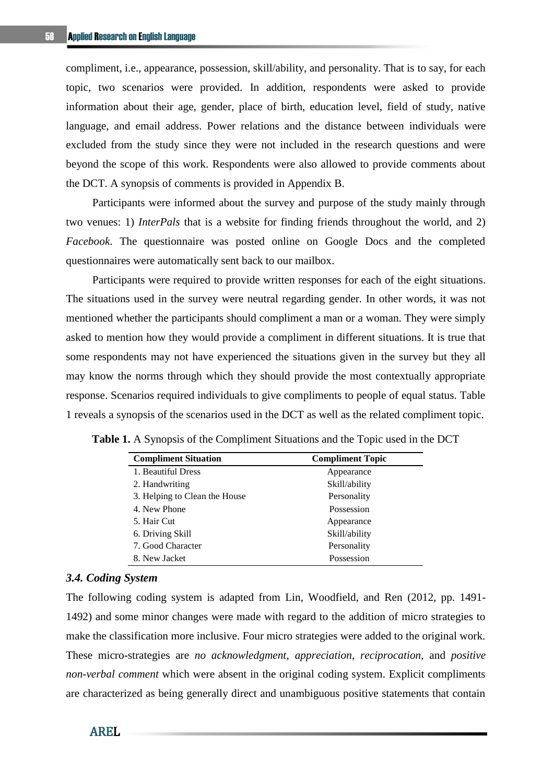compliment, i.e., appearance, possession, skill/ability, and personality. That is to say, for each topic, two scenarios were provided. In addition, respondents were asked to provide information about their age, gender, place of birth, education level, field of study, native language, and email address. Power relations and the distance between individuals were excluded from the study since they were not included in the research questions and were beyond the scope of this work. Respondents were also allowed to provide comments about the DCT. A synopsis of comments is provided in Appendix B.

Participants were informed about the survey and purpose of the study mainly through two venues: 1) *InterPals* that is a website for finding friends throughout the world, and 2) *Facebook*. The questionnaire was posted online on Google Docs and the completed questionnaires were automatically sent back to our mailbox.

Participants were required to provide written responses for each of the eight situations. The situations used in the survey were neutral regarding gender. In other words, it was not mentioned whether the participants should compliment a man or a woman. They were simply asked to mention how they would provide a compliment in different situations. It is true that some respondents may not have experienced the situations given in the survey but they all may know the norms through which they should provide the most contextually appropriate response. Scenarios required individuals to give compliments to people of equal status. Table 1 reveals a synopsis of the scenarios used in the DCT as well as the related compliment topic.

| <b>Compliment Situation</b>   | <b>Compliment Topic</b> |
|-------------------------------|-------------------------|
| 1. Beautiful Dress            | Appearance              |
| 2. Handwriting                | Skill/ability           |
| 3. Helping to Clean the House | Personality             |
| 4. New Phone                  | Possession              |
| 5. Hair Cut                   | Appearance              |
| 6. Driving Skill              | Skill/ability           |
| 7. Good Character             | Personality             |
| 8. New Jacket                 | Possession              |

**Table 1.** A Synopsis of the Compliment Situations and the Topic used in the DCT

#### *3.4. Coding System*

The following coding system is adapted from Lin, Woodfield, and Ren (2012, pp. 1491- 1492) and some minor changes were made with regard to the addition of micro strategies to make the classification more inclusive. Four micro strategies were added to the original work. These micro-strategies are *no acknowledgment*, *appreciation*, *reciprocation*, and *positive non-verbal comment* which were absent in the original coding system. Explicit compliments are characterized as being generally direct and unambiguous positive statements that contain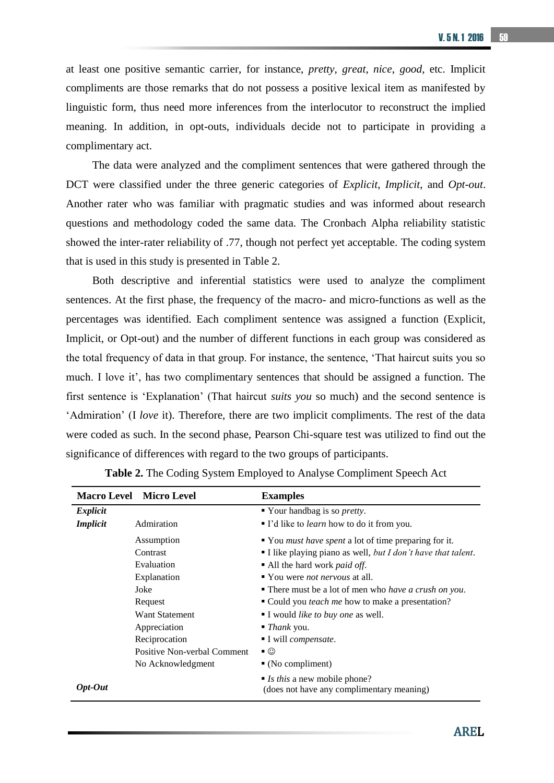at least one positive semantic carrier, for instance, *pretty*, *great*, *nice*, *good*, etc. Implicit compliments are those remarks that do not possess a positive lexical item as manifested by linguistic form, thus need more inferences from the interlocutor to reconstruct the implied meaning. In addition, in opt-outs, individuals decide not to participate in providing a complimentary act.

The data were analyzed and the compliment sentences that were gathered through the DCT were classified under the three generic categories of *Explicit*, *Implicit*, and *Opt-out*. Another rater who was familiar with pragmatic studies and was informed about research questions and methodology coded the same data. The Cronbach Alpha reliability statistic showed the inter-rater reliability of .77, though not perfect yet acceptable. The coding system that is used in this study is presented in Table 2.

Both descriptive and inferential statistics were used to analyze the compliment sentences. At the first phase, the frequency of the macro- and micro-functions as well as the percentages was identified. Each compliment sentence was assigned a function (Explicit, Implicit, or Opt-out) and the number of different functions in each group was considered as the total frequency of data in that group. For instance, the sentence, 'That haircut suits you so much. I love it', has two complimentary sentences that should be assigned a function. The first sentence is 'Explanation' (That haircut *suits you* so much) and the second sentence is 'Admiration' (I *love* it). Therefore, there are two implicit compliments. The rest of the data were coded as such. In the second phase, Pearson Chi-square test was utilized to find out the significance of differences with regard to the two groups of participants.

|                 | <b>Macro Level</b> Micro Level | <b>Examples</b>                                                          |
|-----------------|--------------------------------|--------------------------------------------------------------------------|
| Explicit        |                                | ■ Your handbag is so <i>pretty</i> .                                     |
| <b>Implicit</b> | Admiration                     | ■ I'd like to <i>learn</i> how to do it from you.                        |
|                 | Assumption                     | ■ You <i>must have spent</i> a lot of time preparing for it.             |
|                 | Contrast                       | I like playing piano as well, but I don't have that talent.              |
|                 | Evaluation                     | $\blacksquare$ All the hard work <i>paid off</i> .                       |
|                 | Explanation                    | ■ You were <i>not nervous</i> at all.                                    |
|                 | Joke                           | • There must be a lot of men who <i>have a crush on you</i> .            |
|                 | Request                        | ■ Could you <i>teach me</i> how to make a presentation?                  |
|                 | <b>Want Statement</b>          | I would <i>like to buy one</i> as well.                                  |
|                 | Appreciation                   | $\blacksquare$ Thank you.                                                |
|                 | Reciprocation                  | $\blacksquare$ I will <i>compensate</i> .                                |
|                 | Positive Non-verbal Comment    | • ©                                                                      |
|                 | No Acknowledgment              | $\bullet$ (No compliment)                                                |
| Opt-Out         |                                | Is this a new mobile phone?<br>(does not have any complimentary meaning) |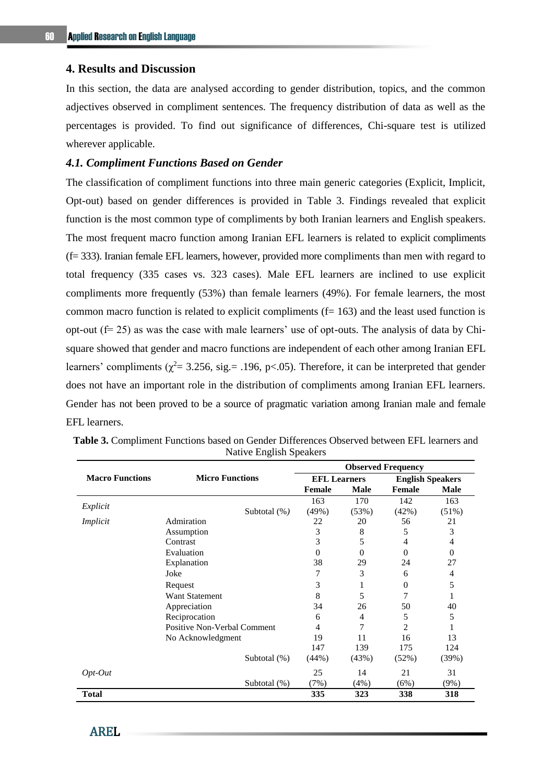## **4. Results and Discussion**

In this section, the data are analysed according to gender distribution, topics, and the common adjectives observed in compliment sentences. The frequency distribution of data as well as the percentages is provided. To find out significance of differences, Chi-square test is utilized wherever applicable.

#### *4.1. Compliment Functions Based on Gender*

The classification of compliment functions into three main generic categories (Explicit, Implicit, Opt-out) based on gender differences is provided in Table 3. Findings revealed that explicit function is the most common type of compliments by both Iranian learners and English speakers. The most frequent macro function among Iranian EFL learners is related to explicit compliments (f= 333). Iranian female EFL learners, however, provided more compliments than men with regard to total frequency (335 cases vs. 323 cases). Male EFL learners are inclined to use explicit compliments more frequently (53%) than female learners (49%). For female learners, the most common macro function is related to explicit compliments  $(f= 163)$  and the least used function is opt-out (f= 25) as was the case with male learners' use of opt-outs. The analysis of data by Chisquare showed that gender and macro functions are independent of each other among Iranian EFL learners' compliments ( $\chi^2$  = 3.256, sig. = .196, p<.05). Therefore, it can be interpreted that gender does not have an important role in the distribution of compliments among Iranian EFL learners. Gender has not been proved to be a source of pragmatic variation among Iranian male and female EFL learners.

|                        |                                    | <b>Observed Frequency</b> |          |                         |             |
|------------------------|------------------------------------|---------------------------|----------|-------------------------|-------------|
| <b>Macro Functions</b> | <b>Micro Functions</b>             | <b>EFL Learners</b>       |          | <b>English Speakers</b> |             |
|                        |                                    | <b>Female</b>             | Male     | <b>Female</b>           | <b>Male</b> |
|                        |                                    | 163                       | 170      | 142                     | 163         |
| Explicit               | Subtotal (%)                       | (49%)                     | (53%)    | (42%)                   | (51%)       |
| Implicit               | Admiration                         | 22                        | 20       | 56                      | 21          |
|                        | Assumption                         | 3                         | 8        | 5                       | 3           |
|                        | Contrast                           | 3                         | 5        | $\overline{4}$          | 4           |
|                        | Evaluation                         | 0                         | $\Omega$ | $\Omega$                | $\theta$    |
|                        | Explanation                        | 38                        | 29       | 24                      | 27          |
|                        | Joke                               | 7                         | 3        | 6                       | 4           |
|                        | Request                            | 3                         | 1        | $\mathbf{0}$            | 5           |
|                        | <b>Want Statement</b>              | 8                         | 5        | 7                       |             |
|                        | Appreciation                       | 34                        | 26       | 50                      | 40          |
|                        | Reciprocation                      | 6                         | 4        | 5                       | 5           |
|                        | <b>Positive Non-Verbal Comment</b> | $\overline{4}$            | 7        | 2                       |             |
|                        | No Acknowledgment                  | 19                        | 11       | 16                      | 13          |
|                        |                                    | 147                       | 139      | 175                     | 124         |
|                        | Subtotal $(\%)$                    | $(44\%)$                  | (43%)    | (52%)                   | (39%)       |
| $Opt-Out$              |                                    | 25                        | 14       | 21                      | 31          |
|                        | Subtotal $(\%)$                    | (7%)                      | (4%)     | (6%)                    | $(9\%)$     |
| <b>Total</b>           |                                    | 335                       | 323      | 338                     | 318         |

**Table 3.** Compliment Functions based on Gender Differences Observed between EFL learners and Native English Speakers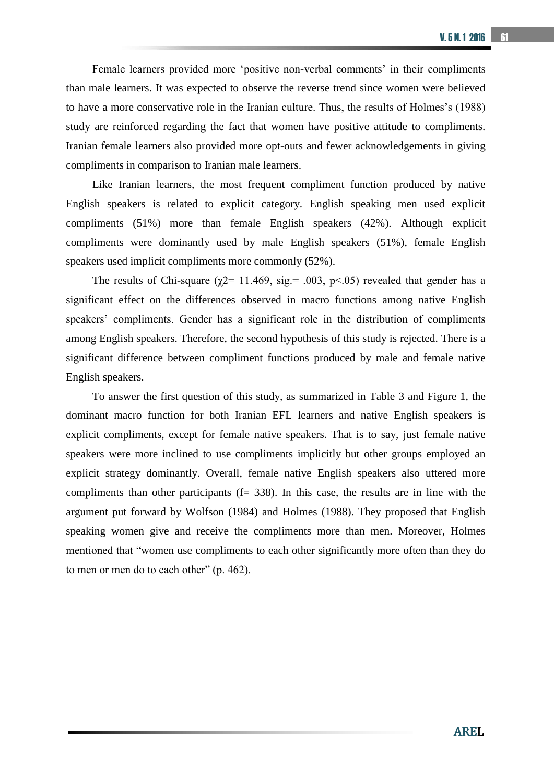Female learners provided more 'positive non-verbal comments' in their compliments than male learners. It was expected to observe the reverse trend since women were believed to have a more conservative role in the Iranian culture. Thus, the results of Holmes's (1988) study are reinforced regarding the fact that women have positive attitude to compliments. Iranian female learners also provided more opt-outs and fewer acknowledgements in giving compliments in comparison to Iranian male learners.

Like Iranian learners, the most frequent compliment function produced by native English speakers is related to explicit category. English speaking men used explicit compliments (51%) more than female English speakers (42%). Although explicit compliments were dominantly used by male English speakers (51%), female English speakers used implicit compliments more commonly (52%).

The results of Chi-square ( $\chi$ 2= 11.469, sig. = .003, p < .05) revealed that gender has a significant effect on the differences observed in macro functions among native English speakers' compliments. Gender has a significant role in the distribution of compliments among English speakers. Therefore, the second hypothesis of this study is rejected. There is a significant difference between compliment functions produced by male and female native English speakers.

To answer the first question of this study, as summarized in Table 3 and Figure 1, the dominant macro function for both Iranian EFL learners and native English speakers is explicit compliments, except for female native speakers. That is to say, just female native speakers were more inclined to use compliments implicitly but other groups employed an explicit strategy dominantly. Overall, female native English speakers also uttered more compliments than other participants  $(f= 338)$ . In this case, the results are in line with the argument put forward by Wolfson (1984) and Holmes (1988). They proposed that English speaking women give and receive the compliments more than men. Moreover, Holmes mentioned that "women use compliments to each other significantly more often than they do to men or men do to each other" (p. 462).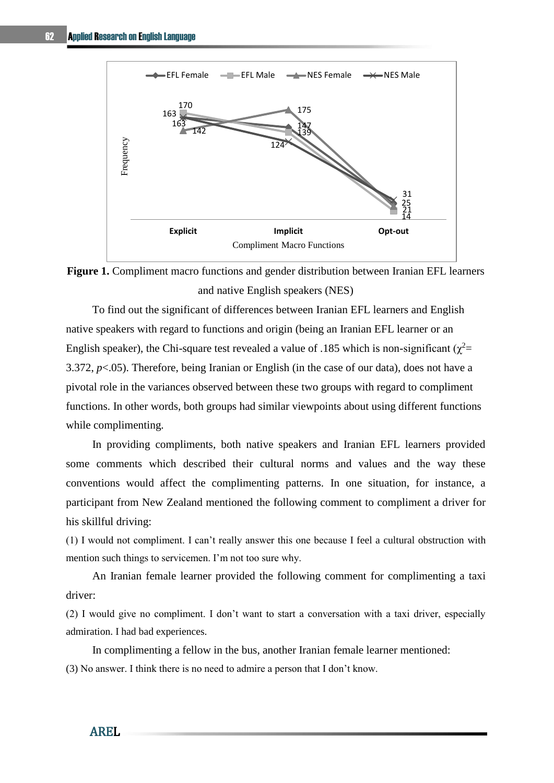



To find out the significant of differences between Iranian EFL learners and English native speakers with regard to functions and origin (being an Iranian EFL learner or an English speaker), the Chi-square test revealed a value of .185 which is non-significant ( $\chi^2$ = 3.372, *p*<.05). Therefore, being Iranian or English (in the case of our data), does not have a pivotal role in the variances observed between these two groups with regard to compliment functions. In other words, both groups had similar viewpoints about using different functions while complimenting.

In providing compliments, both native speakers and Iranian EFL learners provided some comments which described their cultural norms and values and the way these conventions would affect the complimenting patterns. In one situation, for instance, a participant from New Zealand mentioned the following comment to compliment a driver for his skillful driving:

(1) I would not compliment. I can't really answer this one because I feel a cultural obstruction with mention such things to servicemen. I'm not too sure why.

An Iranian female learner provided the following comment for complimenting a taxi driver:

(2) I would give no compliment. I don't want to start a conversation with a taxi driver, especially admiration. I had bad experiences.

In complimenting a fellow in the bus, another Iranian female learner mentioned: (3) No answer. I think there is no need to admire a person that I don't know.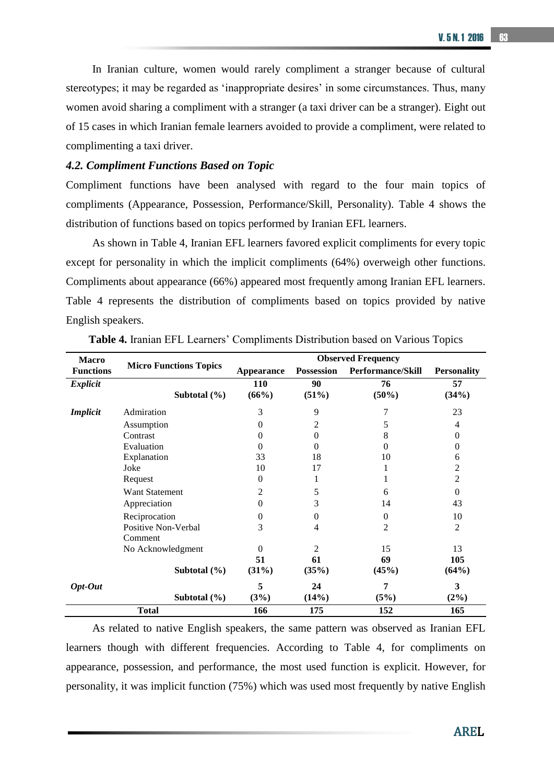In Iranian culture, women would rarely compliment a stranger because of cultural stereotypes; it may be regarded as 'inappropriate desires' in some circumstances. Thus, many women avoid sharing a compliment with a stranger (a taxi driver can be a stranger). Eight out of 15 cases in which Iranian female learners avoided to provide a compliment, were related to complimenting a taxi driver.

#### *4.2. Compliment Functions Based on Topic*

Compliment functions have been analysed with regard to the four main topics of compliments (Appearance, Possession, Performance/Skill, Personality). Table 4 shows the distribution of functions based on topics performed by Iranian EFL learners.

As shown in Table 4, Iranian EFL learners favored explicit compliments for every topic except for personality in which the implicit compliments (64%) overweigh other functions. Compliments about appearance (66%) appeared most frequently among Iranian EFL learners. Table 4 represents the distribution of compliments based on topics provided by native English speakers.

| <b>Macro</b>     | <b>Micro Functions Topics</b>  | <b>Observed Frequency</b> |                   |                          |                    |  |  |
|------------------|--------------------------------|---------------------------|-------------------|--------------------------|--------------------|--|--|
| <b>Functions</b> |                                | Appearance                | <b>Possession</b> | <b>Performance/Skill</b> | <b>Personality</b> |  |  |
| Explicit         | Subtotal $(\% )$               | 110<br>(66%)              | 90<br>(51%)       | 76<br>$(50\%)$           | 57<br>(34%)        |  |  |
| <b>Implicit</b>  | Admiration                     | 3                         | 9                 |                          | 23                 |  |  |
|                  | Assumption                     | $\Omega$                  | 2                 | 5                        | 4                  |  |  |
|                  | Contrast                       | 0                         | $\mathbf{0}$      | 8                        | 0                  |  |  |
|                  | Evaluation                     | 0                         | 0                 | 0                        | $\Omega$           |  |  |
|                  | Explanation                    | 33                        | 18                | 10                       | 6                  |  |  |
|                  | Joke                           | 10                        | 17                |                          | 2                  |  |  |
|                  | Request                        | $\mathbf{0}$              |                   |                          | 2                  |  |  |
|                  | Want Statement                 | 2                         | 5                 | 6                        | $\Omega$           |  |  |
|                  | Appreciation                   | $\theta$                  | 3                 | 14                       | 43                 |  |  |
|                  | Reciprocation                  | 0                         | 0                 | 0                        | 10                 |  |  |
|                  | Positive Non-Verbal<br>Comment | 3                         | 4                 | 2                        | 2                  |  |  |
|                  | No Acknowledgment              | $\Omega$<br>51            | 2<br>61           | 15<br>69                 | 13<br>105          |  |  |
|                  | Subtotal $(\% )$               | (31%)                     | (35%)             | (45%)                    | (64%)              |  |  |
| Opt-Out          |                                | 5                         | 24                | 7                        | 3                  |  |  |
|                  | Subtotal $(\% )$               | (3%)                      | (14%)             | (5%)                     | (2%)               |  |  |
|                  | <b>Total</b>                   | 166                       | 175               | 152                      | 165                |  |  |

**Table 4.** Iranian EFL Learners' Compliments Distribution based on Various Topics

As related to native English speakers, the same pattern was observed as Iranian EFL learners though with different frequencies. According to Table 4, for compliments on appearance, possession, and performance, the most used function is explicit. However, for personality, it was implicit function (75%) which was used most frequently by native English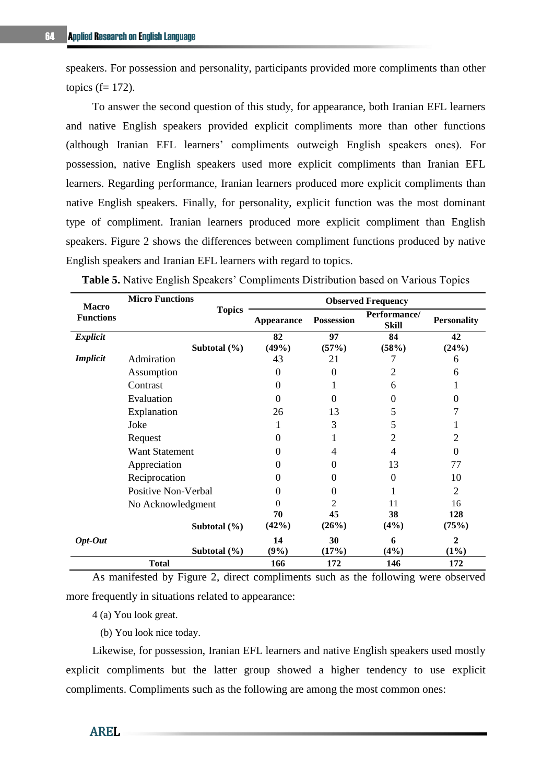speakers. For possession and personality, participants provided more compliments than other topics  $(f= 172)$ .

To answer the second question of this study, for appearance, both Iranian EFL learners and native English speakers provided explicit compliments more than other functions (although Iranian EFL learners' compliments outweigh English speakers ones). For possession, native English speakers used more explicit compliments than Iranian EFL learners. Regarding performance, Iranian learners produced more explicit compliments than native English speakers. Finally, for personality, explicit function was the most dominant type of compliment. Iranian learners produced more explicit compliment than English speakers. Figure 2 shows the differences between compliment functions produced by native English speakers and Iranian EFL learners with regard to topics.

| <b>Macro</b>     | <b>Micro Functions</b> | <b>Observed Frequency</b> |                   |                              |                      |  |
|------------------|------------------------|---------------------------|-------------------|------------------------------|----------------------|--|
| <b>Functions</b> | <b>Topics</b>          | <b>Appearance</b>         | <b>Possession</b> | Performance/<br><b>Skill</b> | <b>Personality</b>   |  |
| Explicit         |                        | 82                        | 97                | 84                           | 42                   |  |
|                  | Subtotal $(\% )$       | (49%)                     | (57%)             | (58%)                        | (24%)                |  |
| <b>Implicit</b>  | Admiration             | 43                        | 21                |                              | 6                    |  |
|                  | Assumption             | $\theta$                  | $\theta$          | 2                            | 6                    |  |
|                  | Contrast               | 0                         |                   | 6                            | T                    |  |
|                  | Evaluation             | 0                         | $\Omega$          | $\Omega$                     | 0                    |  |
|                  | Explanation            | 26                        | 13                | 5                            | 7                    |  |
|                  | Joke                   | 1                         | 3                 | 5                            |                      |  |
|                  | Request                | 0                         |                   | 2                            | 2                    |  |
|                  | <b>Want Statement</b>  | 0                         | 4                 | $\overline{4}$               | $\Omega$             |  |
|                  | Appreciation           | $^{(1)}$                  | 0                 | 13                           | 77                   |  |
|                  | Reciprocation          | 0                         | 0                 | $\Omega$                     | 10                   |  |
|                  | Positive Non-Verbal    | $\Omega$                  | 0                 |                              | $\overline{2}$       |  |
|                  | No Acknowledgment      | 0                         | 2                 | 11                           | 16                   |  |
|                  | Subtotal $(\% )$       | 70<br>(42%)               | 45<br>(26%)       | 38<br>(4%)                   | 128<br>(75%)         |  |
| Opt-Out          | Subtotal $(\% )$       | 14<br>(9%)                | 30<br>(17%)       | 6<br>(4%)                    | $\mathbf{2}$<br>(1%) |  |
|                  | <b>Total</b>           | 166                       | 172               | 146                          | 172                  |  |

**Table 5.** Native English Speakers' Compliments Distribution based on Various Topics

As manifested by Figure 2, direct compliments such as the following were observed more frequently in situations related to appearance:

4 (a) You look great.

(b) You look nice today.

Likewise, for possession, Iranian EFL learners and native English speakers used mostly explicit compliments but the latter group showed a higher tendency to use explicit compliments. Compliments such as the following are among the most common ones: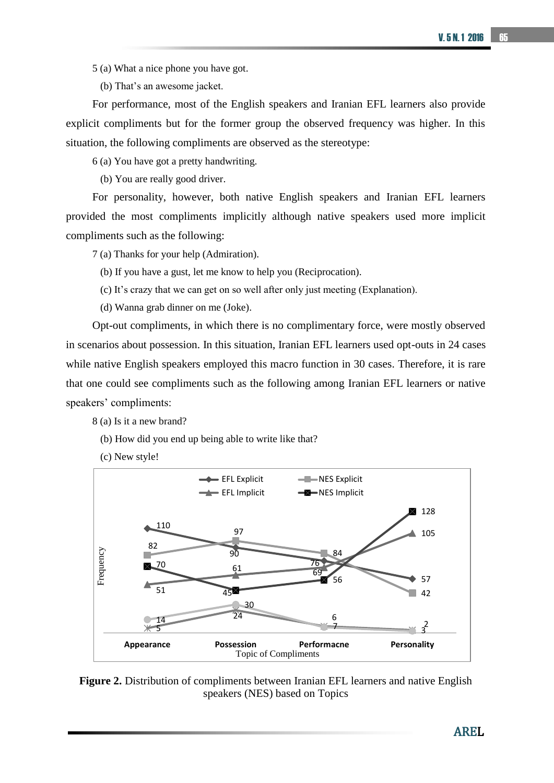5 (a) What a nice phone you have got.

(b) That's an awesome jacket.

For performance, most of the English speakers and Iranian EFL learners also provide explicit compliments but for the former group the observed frequency was higher. In this situation, the following compliments are observed as the stereotype:

6 (a) You have got a pretty handwriting.

(b) You are really good driver.

For personality, however, both native English speakers and Iranian EFL learners provided the most compliments implicitly although native speakers used more implicit compliments such as the following:

7 (a) Thanks for your help (Admiration).

(b) If you have a gust, let me know to help you (Reciprocation).

(c) It's crazy that we can get on so well after only just meeting (Explanation).

(d) Wanna grab dinner on me (Joke).

Opt-out compliments, in which there is no complimentary force, were mostly observed in scenarios about possession. In this situation, Iranian EFL learners used opt-outs in 24 cases while native English speakers employed this macro function in 30 cases. Therefore, it is rare that one could see compliments such as the following among Iranian EFL learners or native speakers' compliments:

8 (a) Is it a new brand?

(b) How did you end up being able to write like that?

(c) New style!



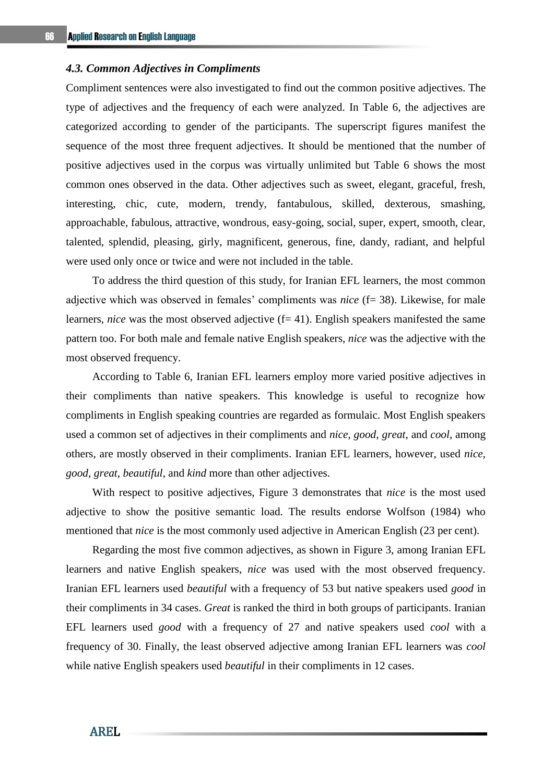## *4.3. Common Adjectives in Compliments*

Compliment sentences were also investigated to find out the common positive adjectives. The type of adjectives and the frequency of each were analyzed. In Table 6, the adjectives are categorized according to gender of the participants. The superscript figures manifest the sequence of the most three frequent adjectives. It should be mentioned that the number of positive adjectives used in the corpus was virtually unlimited but Table 6 shows the most common ones observed in the data. Other adjectives such as sweet, elegant, graceful, fresh, interesting, chic, cute, modern, trendy, fantabulous, skilled, dexterous, smashing, approachable, fabulous, attractive, wondrous, easy-going, social, super, expert, smooth, clear, talented, splendid, pleasing, girly, magnificent, generous, fine, dandy, radiant, and helpful were used only once or twice and were not included in the table.

To address the third question of this study, for Iranian EFL learners, the most common adjective which was observed in females' compliments was *nice* (f= 38). Likewise, for male learners, *nice* was the most observed adjective (f= 41). English speakers manifested the same pattern too. For both male and female native English speakers, *nice* was the adjective with the most observed frequency.

According to Table 6, Iranian EFL learners employ more varied positive adjectives in their compliments than native speakers. This knowledge is useful to recognize how compliments in English speaking countries are regarded as formulaic. Most English speakers used a common set of adjectives in their compliments and *nice*, *good*, *great*, and *cool*, among others, are mostly observed in their compliments. Iranian EFL learners, however, used *nice*, *good*, *great*, *beautiful*, and *kind* more than other adjectives.

With respect to positive adjectives, Figure 3 demonstrates that *nice* is the most used adjective to show the positive semantic load. The results endorse Wolfson (1984) who mentioned that *nice* is the most commonly used adjective in American English (23 per cent).

Regarding the most five common adjectives, as shown in Figure 3, among Iranian EFL learners and native English speakers, *nice* was used with the most observed frequency. Iranian EFL learners used *beautiful* with a frequency of 53 but native speakers used *good* in their compliments in 34 cases. *Great* is ranked the third in both groups of participants. Iranian EFL learners used *good* with a frequency of 27 and native speakers used *cool* with a frequency of 30. Finally, the least observed adjective among Iranian EFL learners was *cool* while native English speakers used *beautiful* in their compliments in 12 cases.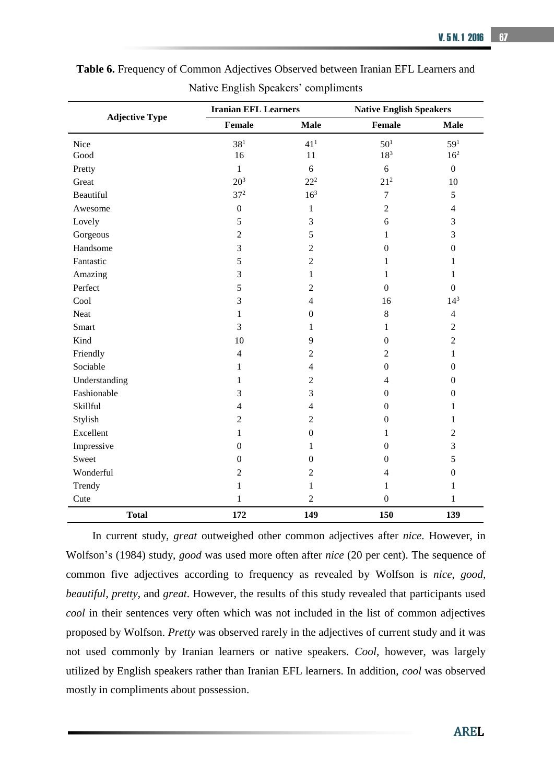|                       | <b>Iranian EFL Learners</b> |                  | <b>Native English Speakers</b> |                  |  |
|-----------------------|-----------------------------|------------------|--------------------------------|------------------|--|
| <b>Adjective Type</b> | <b>Female</b>               | <b>Male</b>      | Female                         | <b>Male</b>      |  |
| Nice                  | $38^{1}$                    | 41 <sup>1</sup>  | 50 <sup>1</sup>                | 59 <sup>1</sup>  |  |
| Good                  | 16                          | 11               | 18 <sup>3</sup>                | 16 <sup>2</sup>  |  |
| Pretty                | $\mathbf{1}$                | 6                | 6                              | $\boldsymbol{0}$ |  |
| Great                 | $20^{3}$                    | $22^{2}$         | 21 <sup>2</sup>                | 10               |  |
| Beautiful             | $37^{2}$                    | $16^{3}$         | $\boldsymbol{7}$               | 5                |  |
| Awesome               | $\boldsymbol{0}$            | $\mathbf{1}$     | $\overline{2}$                 | $\overline{4}$   |  |
| Lovely                | 5                           | 3                | 6                              | $\mathfrak{Z}$   |  |
| Gorgeous              | $\overline{c}$              | 5                | $\mathbf{1}$                   | 3                |  |
| Handsome              | 3                           | $\overline{2}$   | $\mathbf{0}$                   | $\boldsymbol{0}$ |  |
| Fantastic             | 5                           | $\overline{2}$   | 1                              | 1                |  |
| Amazing               | 3                           | 1                | $\mathbf{1}$                   | $\mathbf{1}$     |  |
| Perfect               | 5                           | $\overline{2}$   | $\boldsymbol{0}$               | $\boldsymbol{0}$ |  |
| Cool                  | 3                           | $\overline{4}$   | 16                             | $14^{3}$         |  |
| Neat                  | 1                           | $\boldsymbol{0}$ | $\,8\,$                        | $\overline{4}$   |  |
| Smart                 | 3                           | 1                | $\mathbf{1}$                   | $\overline{2}$   |  |
| Kind                  | 10                          | 9                | $\overline{0}$                 | $\overline{2}$   |  |
| Friendly              | $\overline{4}$              | $\overline{2}$   | $\overline{2}$                 | $\mathbf{1}$     |  |
| Sociable              | 1                           | $\overline{4}$   | $\boldsymbol{0}$               | $\overline{0}$   |  |
| Understanding         | 1                           | $\overline{2}$   | $\overline{4}$                 | $\boldsymbol{0}$ |  |
| Fashionable           | 3                           | 3                | $\boldsymbol{0}$               | $\boldsymbol{0}$ |  |
| Skillful              | 4                           | $\overline{4}$   | $\mathbf{0}$                   | $\mathbf{1}$     |  |
| Stylish               | $\overline{c}$              | $\overline{2}$   | $\mathbf{0}$                   | $\mathbf{1}$     |  |
| Excellent             | 1                           | $\boldsymbol{0}$ | 1                              | $\overline{2}$   |  |
| Impressive            | $\boldsymbol{0}$            | 1                | $\boldsymbol{0}$               | 3                |  |
| Sweet                 | $\mathbf{0}$                | $\boldsymbol{0}$ | $\mathbf{0}$                   | 5                |  |
| Wonderful             | $\overline{2}$              | $\overline{2}$   | $\overline{4}$                 | $\boldsymbol{0}$ |  |
| Trendy                | $\mathbf{1}$                | 1                | 1                              | 1                |  |
| Cute                  | $\mathbf{1}$                | $\overline{2}$   | $\boldsymbol{0}$               | $\mathbf{1}$     |  |
| <b>Total</b>          | 172                         | 149              | 150                            | 139              |  |

**Table 6.** Frequency of Common Adjectives Observed between Iranian EFL Learners and Native English Speakers' compliments

In current study, *great* outweighed other common adjectives after *nice*. However, in Wolfson's (1984) study, *good* was used more often after *nice* (20 per cent). The sequence of common five adjectives according to frequency as revealed by Wolfson is *nice*, *good*, *beautiful*, *pretty*, and *great*. However, the results of this study revealed that participants used *cool* in their sentences very often which was not included in the list of common adjectives proposed by Wolfson. *Pretty* was observed rarely in the adjectives of current study and it was not used commonly by Iranian learners or native speakers. *Cool*, however, was largely utilized by English speakers rather than Iranian EFL learners. In addition, *cool* was observed mostly in compliments about possession.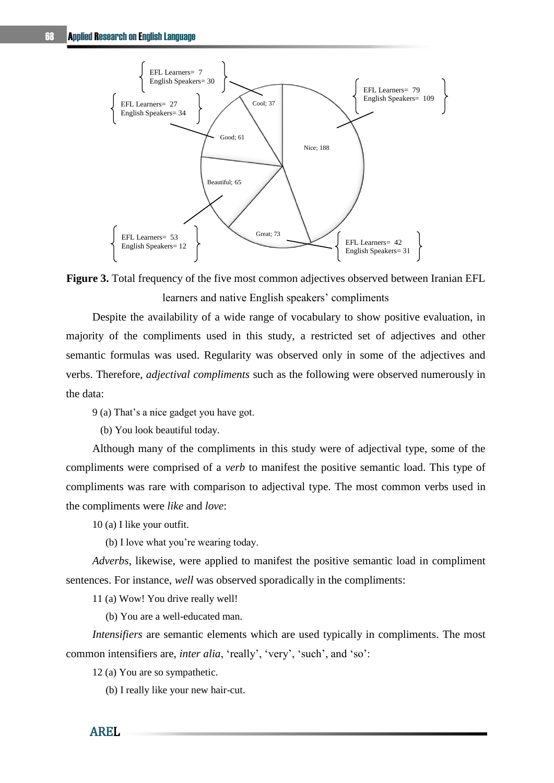

**Figure 3.** Total frequency of the five most common adjectives observed between Iranian EFL learners and native English speakers' compliments

Despite the availability of a wide range of vocabulary to show positive evaluation, in majority of the compliments used in this study, a restricted set of adjectives and other semantic formulas was used. Regularity was observed only in some of the adjectives and verbs. Therefore, *adjectival compliments* such as the following were observed numerously in the data:

9 (a) That's a nice gadget you have got.

(b) You look beautiful today.

Although many of the compliments in this study were of adjectival type, some of the compliments were comprised of a *verb* to manifest the positive semantic load. This type of compliments was rare with comparison to adjectival type. The most common verbs used in the compliments were *like* and *love*:

10 (a) I like your outfit.

(b) I love what you're wearing today.

*Adverbs*, likewise, were applied to manifest the positive semantic load in compliment sentences. For instance, *well* was observed sporadically in the compliments:

11 (a) Wow! You drive really well!

(b) You are a well-educated man.

*Intensifiers* are semantic elements which are used typically in compliments. The most common intensifiers are, *inter alia*, 'really', 'very', 'such', and 'so':

12 (a) You are so sympathetic.

(b) I really like your new hair-cut.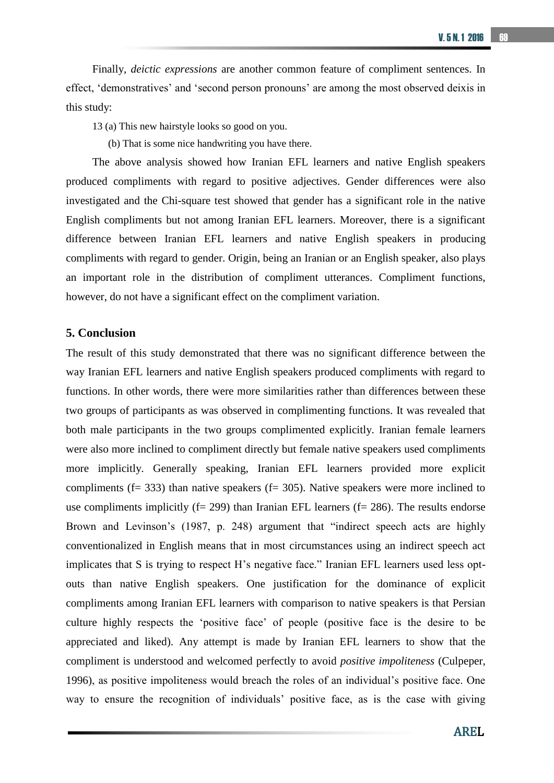Finally, *deictic expressions* are another common feature of compliment sentences. In effect, 'demonstratives' and 'second person pronouns' are among the most observed deixis in this study:

13 (a) This new hairstyle looks so good on you.

(b) That is some nice handwriting you have there.

The above analysis showed how Iranian EFL learners and native English speakers produced compliments with regard to positive adjectives. Gender differences were also investigated and the Chi-square test showed that gender has a significant role in the native English compliments but not among Iranian EFL learners. Moreover, there is a significant difference between Iranian EFL learners and native English speakers in producing compliments with regard to gender. Origin, being an Iranian or an English speaker, also plays an important role in the distribution of compliment utterances. Compliment functions, however, do not have a significant effect on the compliment variation.

## **5. Conclusion**

The result of this study demonstrated that there was no significant difference between the way Iranian EFL learners and native English speakers produced compliments with regard to functions. In other words, there were more similarities rather than differences between these two groups of participants as was observed in complimenting functions. It was revealed that both male participants in the two groups complimented explicitly. Iranian female learners were also more inclined to compliment directly but female native speakers used compliments more implicitly. Generally speaking, Iranian EFL learners provided more explicit compliments ( $f = 333$ ) than native speakers ( $f = 305$ ). Native speakers were more inclined to use compliments implicitly  $(f= 299)$  than Iranian EFL learners  $(f= 286)$ . The results endorse Brown and Levinson's (1987, p. 248) argument that "indirect speech acts are highly conventionalized in English means that in most circumstances using an indirect speech act implicates that S is trying to respect H's negative face." Iranian EFL learners used less optouts than native English speakers. One justification for the dominance of explicit compliments among Iranian EFL learners with comparison to native speakers is that Persian culture highly respects the 'positive face' of people (positive face is the desire to be appreciated and liked). Any attempt is made by Iranian EFL learners to show that the compliment is understood and welcomed perfectly to avoid *positive impoliteness* (Culpeper, 1996), as positive impoliteness would breach the roles of an individual's positive face. One way to ensure the recognition of individuals' positive face, as is the case with giving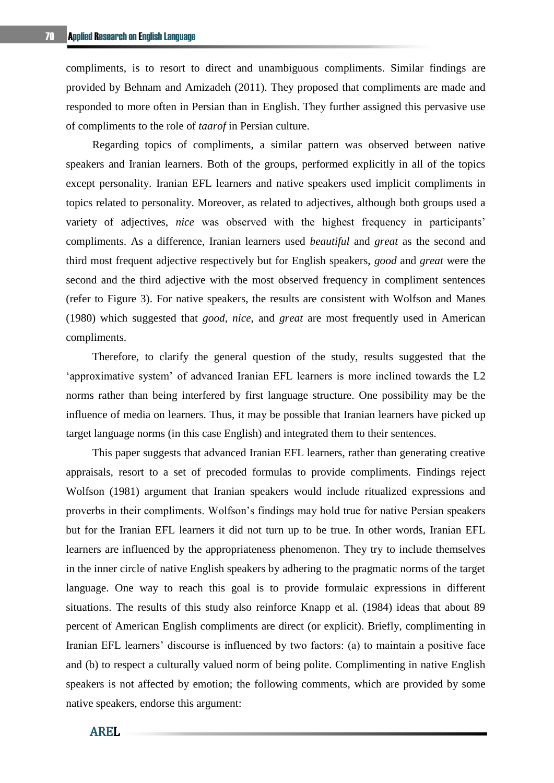compliments, is to resort to direct and unambiguous compliments. Similar findings are provided by Behnam and Amizadeh (2011). They proposed that compliments are made and responded to more often in Persian than in English. They further assigned this pervasive use of compliments to the role of *taarof* in Persian culture.

Regarding topics of compliments, a similar pattern was observed between native speakers and Iranian learners. Both of the groups, performed explicitly in all of the topics except personality. Iranian EFL learners and native speakers used implicit compliments in topics related to personality. Moreover, as related to adjectives, although both groups used a variety of adjectives, *nice* was observed with the highest frequency in participants' compliments. As a difference, Iranian learners used *beautiful* and *great* as the second and third most frequent adjective respectively but for English speakers, *good* and *great* were the second and the third adjective with the most observed frequency in compliment sentences (refer to Figure 3). For native speakers, the results are consistent with Wolfson and Manes (1980) which suggested that *good*, *nice*, and *great* are most frequently used in American compliments.

Therefore, to clarify the general question of the study, results suggested that the 'approximative system' of advanced Iranian EFL learners is more inclined towards the L2 norms rather than being interfered by first language structure. One possibility may be the influence of media on learners. Thus, it may be possible that Iranian learners have picked up target language norms (in this case English) and integrated them to their sentences.

This paper suggests that advanced Iranian EFL learners, rather than generating creative appraisals, resort to a set of precoded formulas to provide compliments. Findings reject Wolfson (1981) argument that Iranian speakers would include ritualized expressions and proverbs in their compliments. Wolfson's findings may hold true for native Persian speakers but for the Iranian EFL learners it did not turn up to be true. In other words, Iranian EFL learners are influenced by the appropriateness phenomenon. They try to include themselves in the inner circle of native English speakers by adhering to the pragmatic norms of the target language. One way to reach this goal is to provide formulaic expressions in different situations. The results of this study also reinforce Knapp et al. (1984) ideas that about 89 percent of American English compliments are direct (or explicit). Briefly, complimenting in Iranian EFL learners' discourse is influenced by two factors: (a) to maintain a positive face and (b) to respect a culturally valued norm of being polite. Complimenting in native English speakers is not affected by emotion; the following comments, which are provided by some native speakers, endorse this argument: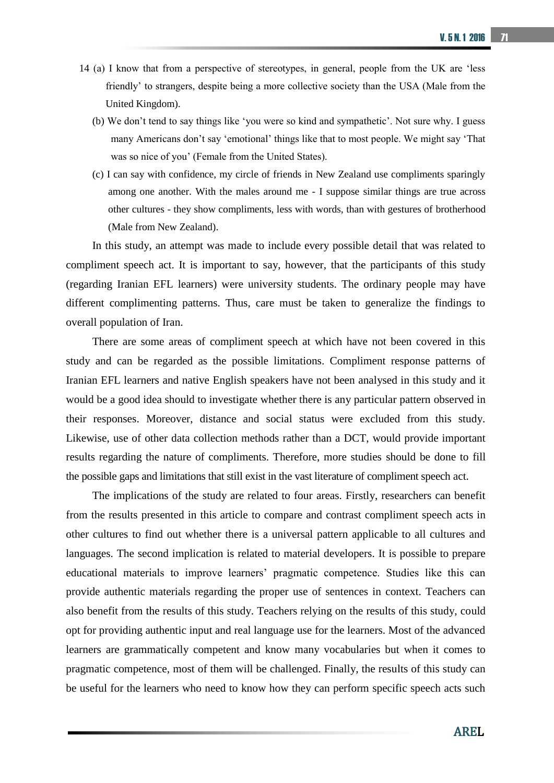- 14 (a) I know that from a perspective of stereotypes, in general, people from the UK are 'less friendly' to strangers, despite being a more collective society than the USA (Male from the United Kingdom).
	- (b) We don't tend to say things like 'you were so kind and sympathetic'. Not sure why. I guess many Americans don't say 'emotional' things like that to most people. We might say 'That was so nice of you' (Female from the United States).
	- (c) I can say with confidence, my circle of friends in New Zealand use compliments sparingly among one another. With the males around me - I suppose similar things are true across other cultures - they show compliments, less with words, than with gestures of brotherhood (Male from New Zealand).

In this study, an attempt was made to include every possible detail that was related to compliment speech act. It is important to say, however, that the participants of this study (regarding Iranian EFL learners) were university students. The ordinary people may have different complimenting patterns. Thus, care must be taken to generalize the findings to overall population of Iran.

There are some areas of compliment speech at which have not been covered in this study and can be regarded as the possible limitations. Compliment response patterns of Iranian EFL learners and native English speakers have not been analysed in this study and it would be a good idea should to investigate whether there is any particular pattern observed in their responses. Moreover, distance and social status were excluded from this study. Likewise, use of other data collection methods rather than a DCT, would provide important results regarding the nature of compliments. Therefore, more studies should be done to fill the possible gaps and limitations that still exist in the vast literature of compliment speech act.

The implications of the study are related to four areas. Firstly, researchers can benefit from the results presented in this article to compare and contrast compliment speech acts in other cultures to find out whether there is a universal pattern applicable to all cultures and languages. The second implication is related to material developers. It is possible to prepare educational materials to improve learners' pragmatic competence. Studies like this can provide authentic materials regarding the proper use of sentences in context. Teachers can also benefit from the results of this study. Teachers relying on the results of this study, could opt for providing authentic input and real language use for the learners. Most of the advanced learners are grammatically competent and know many vocabularies but when it comes to pragmatic competence, most of them will be challenged. Finally, the results of this study can be useful for the learners who need to know how they can perform specific speech acts such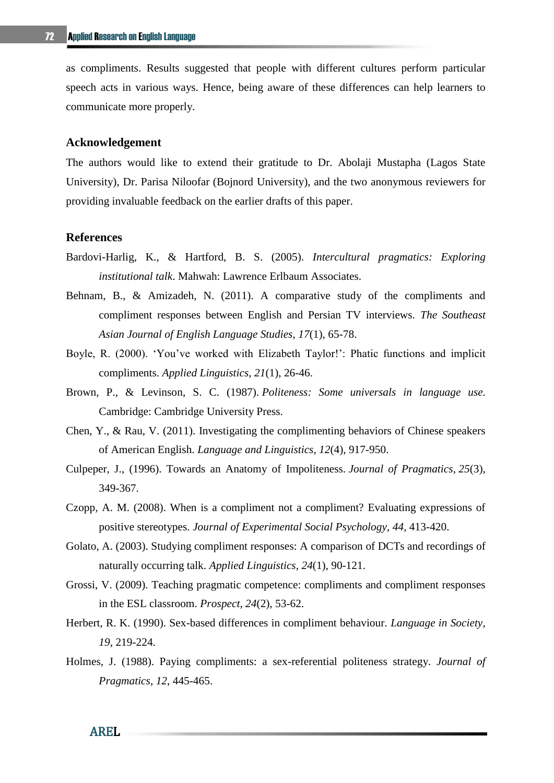as compliments. Results suggested that people with different cultures perform particular speech acts in various ways. Hence, being aware of these differences can help learners to communicate more properly.

## **Acknowledgement**

The authors would like to extend their gratitude to Dr. Abolaji Mustapha (Lagos State University), Dr. Parisa Niloofar (Bojnord University), and the two anonymous reviewers for providing invaluable feedback on the earlier drafts of this paper.

#### **References**

- Bardovi-Harlig, K., & Hartford, B. S. (2005). *Intercultural pragmatics: Exploring institutional talk*. Mahwah: Lawrence Erlbaum Associates.
- Behnam, B., & Amizadeh, N. (2011). A comparative study of the compliments and compliment responses between English and Persian TV interviews. *The Southeast Asian Journal of English Language Studies*, *17*(1), 65-78.
- Boyle, R. (2000). 'You've worked with Elizabeth Taylor!': Phatic functions and implicit compliments. *Applied Linguistics*, *21*(1), 26-46.
- Brown, P., & Levinson, S. C. (1987). *[Politeness:](http://www.languageinconflict.org/component/seoglossary/glossary/2/61/politeness.html) Some universals in language use.*  Cambridge: Cambridge University Press.
- Chen, Y., & Rau, V. (2011). Investigating the complimenting behaviors of Chinese speakers of American English. *Language and Linguistics*, *12*(4), 917-950.
- Culpeper, J., (1996). Towards an Anatomy of Impoliteness. *Journal of Pragmatics*, *25*(3), 349-367.
- Czopp, A. M. (2008). When is a compliment not a compliment? Evaluating expressions of positive stereotypes. *Journal of Experimental Social Psychology*, *44*, 413-420.
- Golato, A. (2003). Studying compliment responses: A comparison of DCTs and recordings of naturally occurring talk. *Applied Linguistics*, *24*(1), 90-121.
- Grossi, V. (2009). Teaching pragmatic competence: compliments and compliment responses in the ESL classroom. *Prospect*, *24*(2), 53-62.
- Herbert, R. K. (1990). Sex-based differences in compliment behaviour. *Language in Society*, *19*, 219-224.
- Holmes, J. (1988). Paying compliments: a sex-referential politeness strategy. *Journal of Pragmatics*, *12*, 445-465.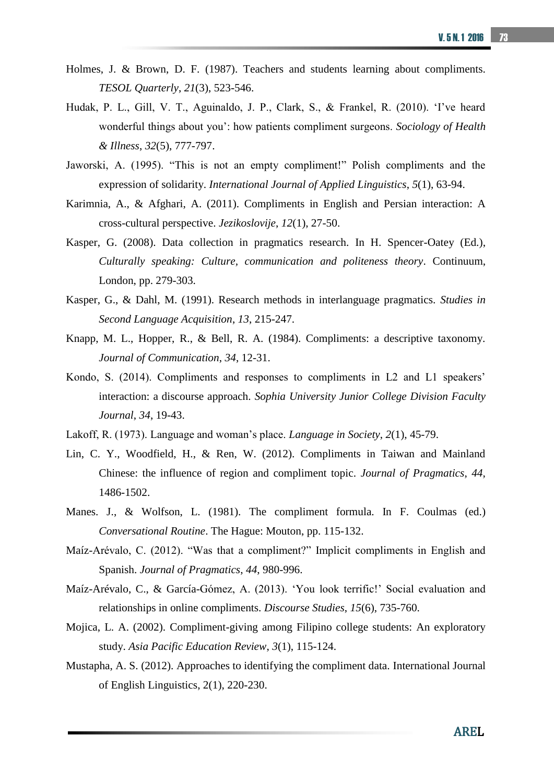- Holmes, J. & Brown, D. F. (1987). Teachers and students learning about compliments. *TESOL Quarterly*, *21*(3), 523-546.
- Hudak, P. L., Gill, V. T., Aguinaldo, J. P., Clark, S., & Frankel, R. (2010). 'I've heard wonderful things about you': how patients compliment surgeons. *Sociology of Health & Illness*, *32*(5), 777-797.
- Jaworski, A. (1995). "This is not an empty compliment!" Polish compliments and the expression of solidarity. *International Journal of Applied Linguistics*, *5*(1), 63-94.
- Karimnia, A., & Afghari, A. (2011). Compliments in English and Persian interaction: A cross-cultural perspective. *Jezikoslovije*, *12*(1), 27-50.
- Kasper, G. (2008). Data collection in pragmatics research. In H. Spencer-Oatey (Ed.), *Culturally speaking: Culture, communication and politeness theory*. Continuum, London, pp. 279-303.
- Kasper, G., & Dahl, M. (1991). Research methods in interlanguage pragmatics. *Studies in Second Language Acquisition*, *13*, 215-247.
- Knapp, M. L., Hopper, R., & Bell, R. A. (1984). Compliments: a descriptive taxonomy. *Journal of Communication*, *34*, 12-31.
- Kondo, S. (2014). Compliments and responses to compliments in L2 and L1 speakers' interaction: a discourse approach. *Sophia University Junior College Division Faculty Journal*, *34*, 19-43.
- Lakoff, R. (1973). Language and woman's place. *Language in Society*, *2*(1), 45-79.
- Lin, C. Y., Woodfield, H., & Ren, W. (2012). Compliments in Taiwan and Mainland Chinese: the influence of region and compliment topic. *Journal of Pragmatics*, *44*, 1486-1502.
- Manes. J., & Wolfson, L. (1981). The compliment formula. In F. Coulmas (ed.) *Conversational Routine*. The Hague: Mouton, pp. 115-132.
- Maíz-Arévalo, C. (2012). "Was that a compliment?" Implicit compliments in English and Spanish. *Journal of Pragmatics*, *44*, 980-996.
- Maíz-Arévalo, C., & García-Gómez, A. (2013). 'You look terrific!' Social evaluation and relationships in online compliments. *Discourse Studies*, *15*(6), 735-760.
- Mojica, L. A. (2002). Compliment-giving among Filipino college students: An exploratory study. *Asia Pacific Education Review*, *3*(1), 115-124.
- Mustapha, A. S. (2012). Approaches to identifying the compliment data. International Journal of English Linguistics, 2(1), 220-230.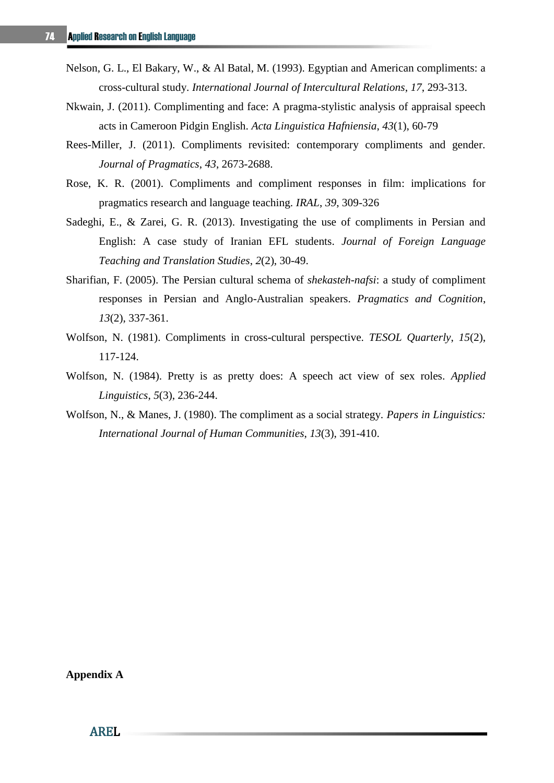- Nelson, G. L., El Bakary, W., & Al Batal, M. (1993). Egyptian and American compliments: a cross-cultural study. *International Journal of Intercultural Relations*, *17*, 293-313.
- Nkwain, J. (2011). Complimenting and face: A pragma-stylistic analysis of appraisal speech acts in Cameroon Pidgin English. *Acta Linguistica Hafniensia*, *43*(1), 60-79
- Rees-Miller, J. (2011). Compliments revisited: contemporary compliments and gender. *Journal of Pragmatics*, *43*, 2673-2688.
- Rose, K. R. (2001). Compliments and compliment responses in film: implications for pragmatics research and language teaching. *IRAL*, *39*, 309-326
- Sadeghi, E., & Zarei, G. R. (2013). Investigating the use of compliments in Persian and English: A case study of Iranian EFL students. *Journal of Foreign Language Teaching and Translation Studies*, *2*(2), 30-49.
- Sharifian, F. (2005). The Persian cultural schema of *shekasteh-nafsi*: a study of compliment responses in Persian and Anglo-Australian speakers. *Pragmatics and Cognition*, *13*(2), 337-361.
- Wolfson, N. (1981). Compliments in cross-cultural perspective. *TESOL Quarterly*, *15*(2), 117-124.
- Wolfson, N. (1984). Pretty is as pretty does: A speech act view of sex roles. *Applied Linguistics*, *5*(3), 236-244.
- Wolfson, N., & Manes, J. (1980). The compliment as a social strategy. *Papers in Linguistics: International Journal of Human Communities*, *13*(3), 391-410.

**Appendix A**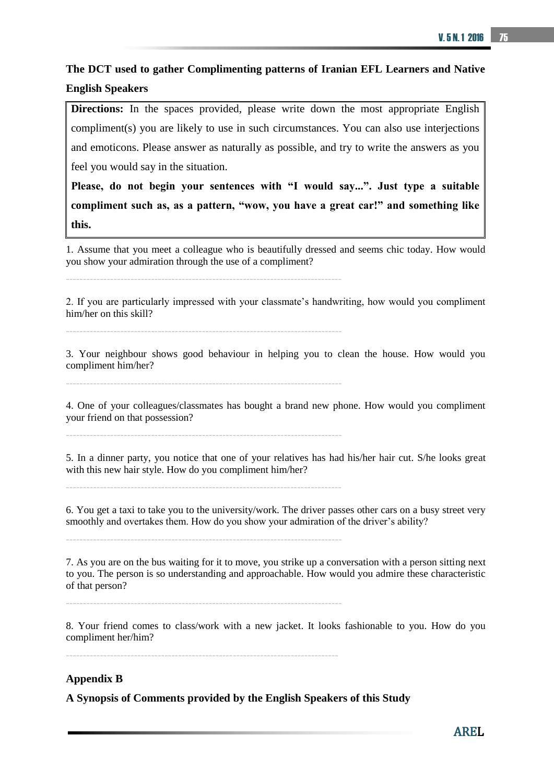## **The DCT used to gather Complimenting patterns of Iranian EFL Learners and Native English Speakers**

**Directions:** In the spaces provided, please write down the most appropriate English compliment(s) you are likely to use in such circumstances. You can also use interjections and emoticons. Please answer as naturally as possible, and try to write the answers as you feel you would say in the situation.

**Please, do not begin your sentences with "I would say...". Just type a suitable compliment such as, as a pattern, "wow, you have a great car!" and something like this.**

1. Assume that you meet a colleague who is beautifully dressed and seems chic today. How would you show your admiration through the use of a compliment?

---------------------------------------------------------------------------------

2. If you are particularly impressed with your classmate's handwriting, how would you compliment him/her on this skill?

---------------------------------------------------------------------------------

3. Your neighbour shows good behaviour in helping you to clean the house. How would you compliment him/her?

---------------------------------------------------------------------------------

4. One of your colleagues/classmates has bought a brand new phone. How would you compliment your friend on that possession?

---------------------------------------------------------------------------------

5. In a dinner party, you notice that one of your relatives has had his/her hair cut. S/he looks great with this new hair style. How do you compliment him/her?

---------------------------------------------------------------------------------

6. You get a taxi to take you to the university/work. The driver passes other cars on a busy street very smoothly and overtakes them. How do you show your admiration of the driver's ability?

---------------------------------------------------------------------------------

7. As you are on the bus waiting for it to move, you strike up a conversation with a person sitting next to you. The person is so understanding and approachable. How would you admire these characteristic of that person?

---------------------------------------------------------------------------------

8. Your friend comes to class/work with a new jacket. It looks fashionable to you. How do you compliment her/him?

--------------------------------------------------------------------------------

## **Appendix B**

**A Synopsis of Comments provided by the English Speakers of this Study**